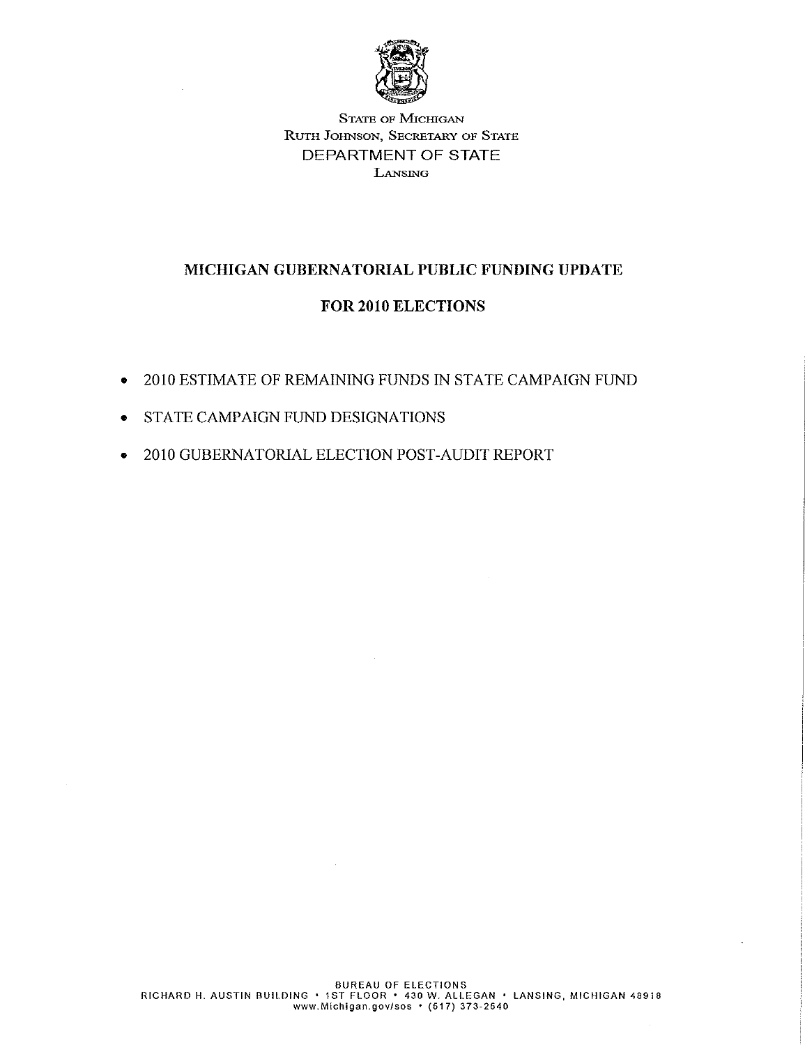

STATE OF MICHIGAN RUTH JoHNsoN, SECRETARY oF STATE DEPARTMENT OF STATE LANSING

# MICHIGAN GUBERNATORIAL PUBLIC FUNDING UPDATE

## FOR 2010 ELECTIONS

- 2010 ESTIMATE OF REMAINING FUNDS IN STATE CAMPAIGN FUND
- STATE CAMPAIGN FUND DESIGNATIONS
- 2010 GUBERNATORIAL ELECTION POST-AUDIT REPORT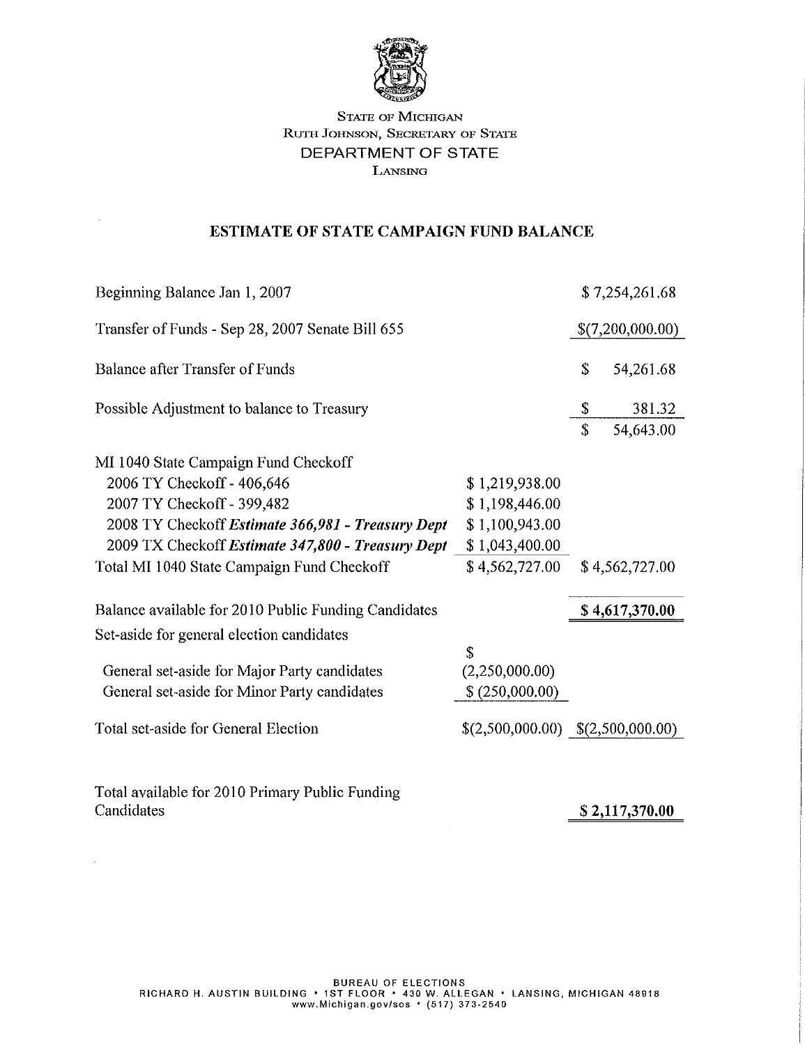

## STATE OF MICHIGAN RUTH JOHNSON, SECRETARY OF STATE DEPARTMENT OF STATE LANSING

## ESTIMATE OF STATE CAMPAIGN FUND BALANCE

| Beginning Balance Jan 1, 2007                        |                                         | \$7,254,261.68   |
|------------------------------------------------------|-----------------------------------------|------------------|
| Transfer of Funds - Sep 28, 2007 Senate Bill 655     |                                         | \$(7,200,000.00) |
| Balance after Transfer of Funds                      |                                         | \$<br>54,261.68  |
| Possible Adjustment to balance to Treasury           |                                         | \$<br>381.32     |
|                                                      |                                         | \$<br>54,643.00  |
| MI 1040 State Campaign Fund Checkoff                 |                                         |                  |
| 2006 TY Checkoff - 406,646                           | \$1,219,938.00                          |                  |
| 2007 TY Checkoff - 399,482                           | \$1,198,446.00                          |                  |
| 2008 TY Checkoff Estimate 366,981 - Treasury Dept    | \$1,100,943.00                          |                  |
| 2009 TX Checkoff Estimate 347,800 - Treasury Dept    | \$1,043,400.00                          |                  |
| Total MI 1040 State Campaign Fund Checkoff           | \$4,562,727.00                          | \$4,562,727.00   |
| Balance available for 2010 Public Funding Candidates |                                         | \$4,617,370.00   |
| Set-aside for general election candidates            |                                         |                  |
|                                                      | \$                                      |                  |
| General set-aside for Major Party candidates         | (2,250,000.00)                          |                  |
| General set-aside for Minor Party candidates         | \$ (250,000.00)                         |                  |
| Total set-aside for General Election                 | $$(2,500,000.00) \quad $(2,500,000.00)$ |                  |
|                                                      |                                         |                  |
|                                                      |                                         |                  |

Total available for 2010 Primary Public Funding Candidates

\$ 2,117,370.00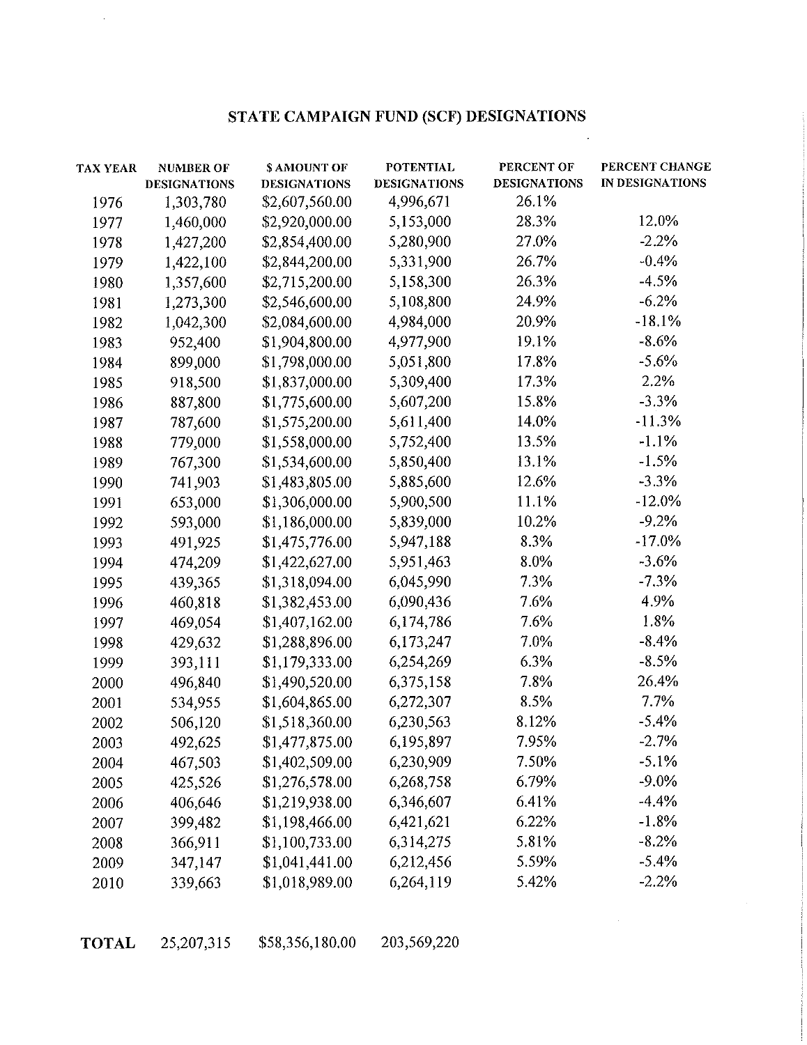# **STATE CAMPAIGN FUND (SCF) DESIGNATIONS**

| <b>TAX YEAR</b> | <b>NUMBER OF</b><br><b>DESIGNATIONS</b> | <b>\$ AMOUNT OF</b><br><b>DESIGNATIONS</b> | <b>POTENTIAL</b><br><b>DESIGNATIONS</b> | PERCENT OF<br><b>DESIGNATIONS</b> | PERCENT CHANGE<br><b>IN DESIGNATIONS</b> |
|-----------------|-----------------------------------------|--------------------------------------------|-----------------------------------------|-----------------------------------|------------------------------------------|
| 1976            | 1,303,780                               | \$2,607,560.00                             | 4,996,671                               | 26.1%                             |                                          |
| 1977            | 1,460,000                               | \$2,920,000.00                             | 5,153,000                               | 28.3%                             | 12.0%                                    |
| 1978            | 1,427,200                               | \$2,854,400.00                             | 5,280,900                               | 27.0%                             | $-2.2%$                                  |
| 1979            | 1,422,100                               | \$2,844,200.00                             | 5,331,900                               | 26.7%                             | $-0.4%$                                  |
| 1980            | 1,357,600                               | \$2,715,200.00                             | 5,158,300                               | 26.3%                             | $-4.5%$                                  |
| 1981            | 1,273,300                               | \$2,546,600.00                             | 5,108,800                               | 24.9%                             | $-6.2%$                                  |
| 1982            | 1,042,300                               | \$2,084,600.00                             | 4,984,000                               | 20.9%                             | $-18.1%$                                 |
| 1983            | 952,400                                 | \$1,904,800.00                             | 4,977,900                               | 19.1%                             | $-8.6%$                                  |
| 1984            | 899,000                                 | \$1,798,000.00                             | 5,051,800                               | 17.8%                             | $-5.6%$                                  |
| 1985            | 918,500                                 | \$1,837,000.00                             | 5,309,400                               | 17.3%                             | 2.2%                                     |
| 1986            | 887,800                                 | \$1,775,600.00                             | 5,607,200                               | 15.8%                             | $-3.3%$                                  |
| 1987            | 787,600                                 | \$1,575,200.00                             | 5,611,400                               | 14.0%                             | $-11.3%$                                 |
| 1988            | 779,000                                 | \$1,558,000.00                             | 5,752,400                               | 13.5%                             | $-1.1%$                                  |
| 1989            | 767,300                                 | \$1,534,600.00                             | 5,850,400                               | 13.1%                             | $-1.5%$                                  |
| 1990            | 741,903                                 | \$1,483,805.00                             | 5,885,600                               | 12.6%                             | $-3.3%$                                  |
| 1991            | 653,000                                 | \$1,306,000.00                             | 5,900,500                               | 11.1%                             | $-12.0%$                                 |
| 1992            | 593,000                                 | \$1,186,000.00                             | 5,839,000                               | 10.2%                             | $-9.2%$                                  |
| 1993            | 491,925                                 | \$1,475,776.00                             | 5,947,188                               | 8.3%                              | $-17.0%$                                 |
| 1994            | 474,209                                 | \$1,422,627.00                             | 5,951,463                               | 8.0%                              | $-3.6%$                                  |
| 1995            | 439,365                                 | \$1,318,094.00                             | 6,045,990                               | 7.3%                              | $-7.3%$                                  |
| 1996            | 460,818                                 | \$1,382,453.00                             | 6,090,436                               | 7.6%                              | 4.9%                                     |
| 1997            | 469,054                                 | \$1,407,162.00                             | 6,174,786                               | 7.6%                              | 1.8%                                     |
| 1998            | 429,632                                 | \$1,288,896.00                             | 6,173,247                               | 7.0%                              | $-8.4%$                                  |
| 1999            | 393,111                                 | \$1,179,333.00                             | 6,254,269                               | 6.3%                              | $-8.5%$                                  |
| 2000            | 496,840                                 | \$1,490,520.00                             | 6,375,158                               | 7.8%                              | 26.4%                                    |
| 2001            | 534,955                                 | \$1,604,865.00                             | 6,272,307                               | 8.5%                              | 7.7%                                     |
| 2002            | 506,120                                 | \$1,518,360.00                             | 6,230,563                               | 8.12%                             | $-5.4%$                                  |
| 2003            | 492,625                                 | \$1,477,875.00                             | 6,195,897                               | 7.95%                             | $-2.7%$                                  |
| 2004            | 467,503                                 | \$1,402,509.00                             | 6,230,909                               | 7.50%                             | $-5.1%$                                  |
| 2005            | 425,526                                 | \$1,276,578.00                             | 6,268,758                               | 6.79%                             | $-9.0\%$                                 |
| 2006            | 406,646                                 | \$1,219,938.00                             | 6,346,607                               | 6.41%                             | $-4.4%$                                  |
| 2007            | 399,482                                 | \$1,198,466.00                             | 6,421,621                               | 6.22%                             | $-1.8%$                                  |
| 2008            | 366,911                                 | \$1,100,733.00                             | 6,314,275                               | 5.81%                             | $-8.2%$                                  |
| 2009            | 347,147                                 | \$1,041,441.00                             | 6,212,456                               | 5.59%                             | $-5.4%$                                  |
| 2010            | 339,663                                 | \$1,018,989.00                             | 6,264,119                               | 5.42%                             | $-2.2%$                                  |

 $\bar{z}$ 

**TOTAL** 25,207,315 \$58,356,180.00 203,569,220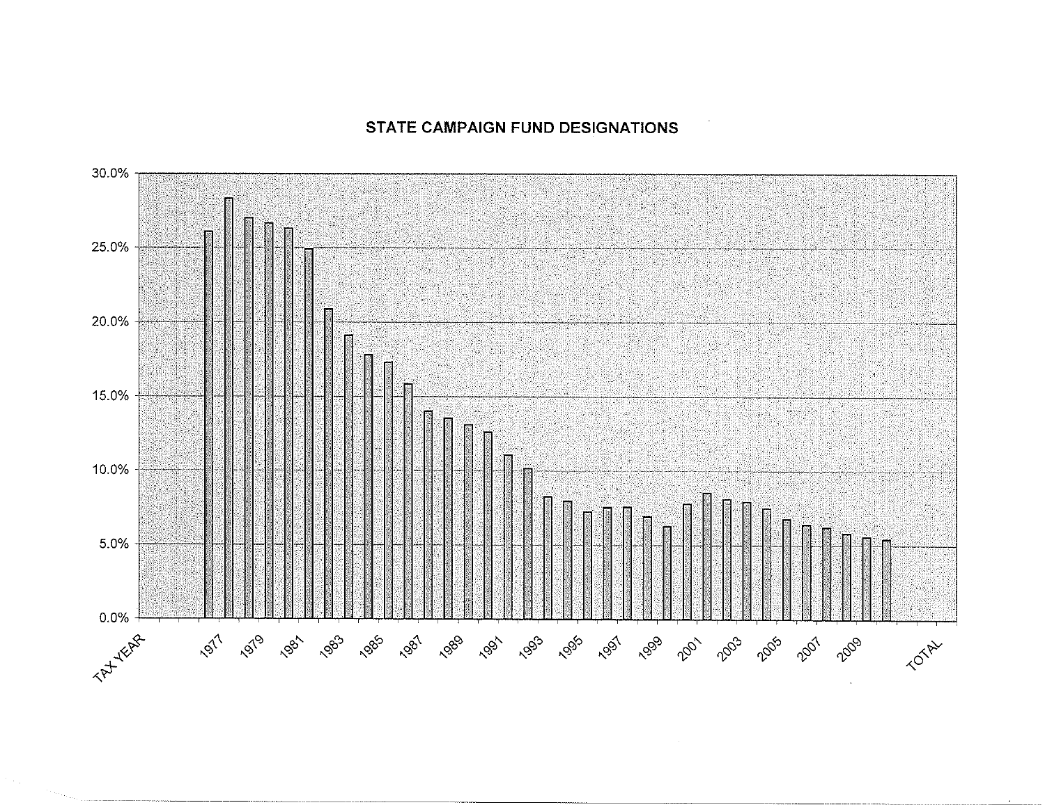## STATE CAMPAIGN FUND DESIGNATIONS



... ··------···-··-··------- ·---- ·--------------------······-····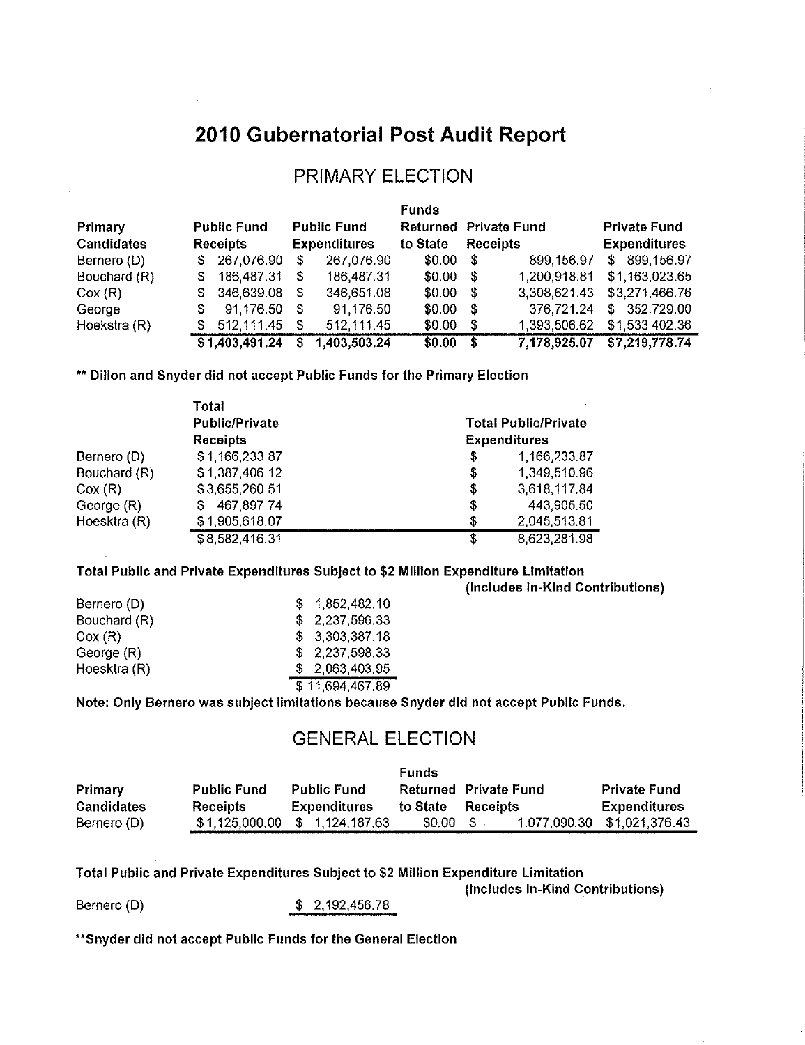# **2010 Gubernatorial Post Audit Report**

# PRIMARY ELECTION

|                   |    |                    |     |                     | Funds                        |          |              |                     |
|-------------------|----|--------------------|-----|---------------------|------------------------------|----------|--------------|---------------------|
| <b>Primary</b>    |    | <b>Public Fund</b> |     | <b>Public Fund</b>  | <b>Returned Private Fund</b> |          |              | <b>Private Fund</b> |
| <b>Candidates</b> |    | <b>Receipts</b>    |     | <b>Expenditures</b> | to State                     | Receipts |              | <b>Expenditures</b> |
| Bernero (D)       |    | \$ 267,076.90      |     | 267,076.90          | \$0.00                       | - S      | 899,156.97   | 899 156 97<br>S.    |
| Bouchard (R)      | S. | 186,487.31         | S   | 186,487.31          | \$0.00                       | - S      | 1,200,918.81 | \$1,163,023.65      |
| Cox(R)            | S. | 346,639.08         | -5  | 346,651.08          | \$0.00                       | - \$     | 3,308,621.43 | \$3,271,466.76      |
| George            | S. | 91,176.50          | - S | 91,176.50           | \$0.00                       | - S      | 376,721.24   | \$352,729.00        |
| Hoekstra (R)      | S. | 512,111.45         | S   | 512,111.45          | \$0.00                       | -S       | 1,393,506.62 | \$1,533,402.36      |
|                   |    | \$1,403,491.24     | S.  | 1,403,503.24        | \$0.00                       | -S       | 7,178,925.07 | \$7,219,778.74      |

•• Dillon and Snyder did not accept Public Funds for the Primary Election

|                 | Total                 |                             |              |  |  |  |  |
|-----------------|-----------------------|-----------------------------|--------------|--|--|--|--|
|                 | <b>Public/Private</b> | <b>Total Public/Private</b> |              |  |  |  |  |
| <b>Receipts</b> |                       | <b>Expenditures</b>         |              |  |  |  |  |
| Bernero (D)     | \$1,166,233.87        | S                           | 1,166,233.87 |  |  |  |  |
| Bouchard (R)    | \$1,387,406.12        | S                           | 1,349,510.96 |  |  |  |  |
| Cox(R)          | \$3,655,260.51        | s                           | 3,618,117.84 |  |  |  |  |
| George (R)      | 467,897.74<br>S       | \$                          | 443,905.50   |  |  |  |  |
| Hoesktra (R)    | \$1,905,618.07        | S                           | 2,045,513.81 |  |  |  |  |
|                 | \$8,582,416.31        | S                           | 8,623,281.98 |  |  |  |  |

#### Total Public and Private Expenditures Subject to \$2 Million Expenditure Limitation

| Bernero (D)  | \$1,852,482.10  |
|--------------|-----------------|
| Bouchard (R) | \$2,237,596.33  |
| Cox (R).     | \$3,303,387.18  |
| George (R)   | \$2,237,598.33  |
| Hoesktra (R) | \$2,063,403.95  |
|              | \$11,694,467.89 |

Note: Only Bernero was subject limitations because Snyder did not accept Public Funds.

## GENERAL ELECTION

|                   |                    |                                 | <b>Funds</b> |                              |                             |
|-------------------|--------------------|---------------------------------|--------------|------------------------------|-----------------------------|
| <b>Primary</b>    | <b>Public Fund</b> | <b>Public Fund</b>              |              | <b>Returned Private Fund</b> | <b>Private Fund</b>         |
| <b>Candidates</b> | <b>Receipts</b>    | <b>Expenditures</b>             | to State     | Receipts                     | <b>Expenditures</b>         |
| Bernero (D)       |                    | $$1,125,000.00$ $$1,124,187.63$ | \$0.00 \$    |                              | 1,077,090.30 \$1,021,376.43 |

#### Total Public and Private Expenditures Subject to \$2 Million Expenditure Limitation

Bernero (D) \$ 2,192,456.78

(Includes In-Kind Contributions)

(Includes In-Kind Contributions)

\*\* Snyder did not accept Public Funds for the General Election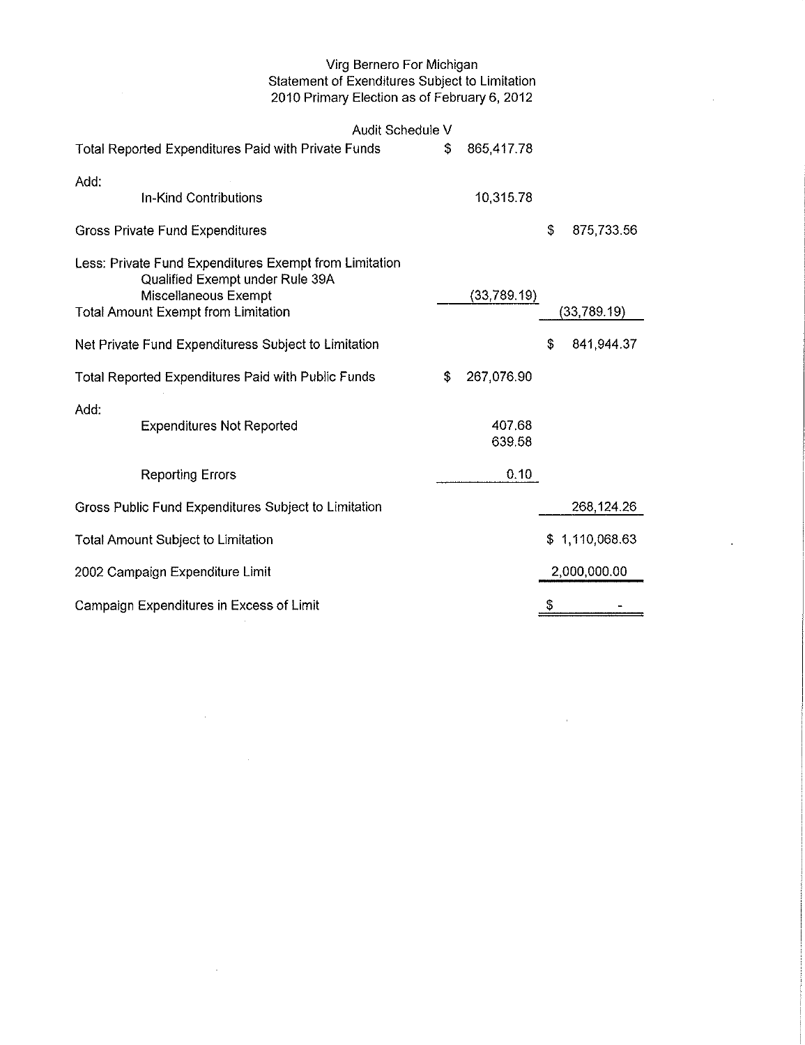#### Virg Bernero For Michigan Statement of Exenditures Subject to Limitation 2010 Primary Election as of February 6, 2012

 $\mathcal{L}_{\mathcal{A}}$ 

l,

 $\hat{\boldsymbol{\alpha}}$ 

| Audit Schedule V                                                                                                  |     |             |                  |
|-------------------------------------------------------------------------------------------------------------------|-----|-------------|------------------|
| <b>Total Reported Expenditures Paid with Private Funds</b>                                                        | S   | 865,417.78  |                  |
| Add:                                                                                                              |     |             |                  |
| In-Kind Contributions                                                                                             |     | 10,315.78   |                  |
| <b>Gross Private Fund Expenditures</b>                                                                            |     |             | \$<br>875,733.56 |
| Less: Private Fund Expenditures Exempt from Limitation<br>Qualified Exempt under Rule 39A<br>Miscellaneous Exempt |     | (33,789.19) |                  |
| <b>Total Amount Exempt from Limitation</b>                                                                        |     |             | (33, 789.19)     |
| Net Private Fund Expendituress Subject to Limitation                                                              |     |             | \$<br>841,944.37 |
| <b>Total Reported Expenditures Paid with Public Funds</b>                                                         | \$. | 267,076.90  |                  |
| Add:                                                                                                              |     |             |                  |
| <b>Expenditures Not Reported</b>                                                                                  |     | 407.68      |                  |
|                                                                                                                   |     | 639.58      |                  |
| <b>Reporting Errors</b>                                                                                           |     | 0.10        |                  |
| Gross Public Fund Expenditures Subject to Limitation                                                              |     |             | 268,124.26       |
| <b>Total Amount Subject to Limitation</b>                                                                         |     |             | \$1,110,068.63   |
| 2002 Campaign Expenditure Limit                                                                                   |     |             | 2,000,000.00     |
| Campaign Expenditures in Excess of Limit                                                                          |     |             | \$               |

 $\sim 10^{-10}$ 

 $\sim 10^{-1}$ 

 $\bar{z}$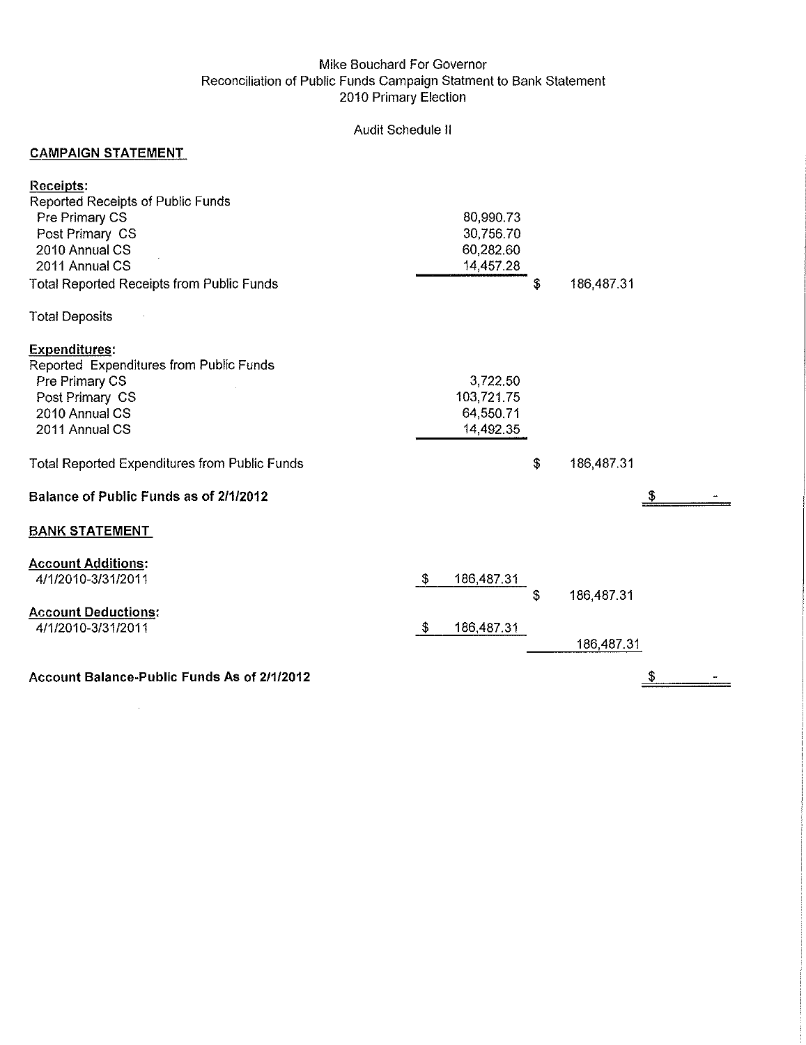## Mike Bouchard For Governor Reconciliation of Public Funds Campaign Statment to Bank Statement 2010 Primary Election

## Audit Schedule II

## **CAMPAIGN STATEMENT**

| Receipts:<br><b>Reported Receipts of Public Funds</b><br>Pre Primary CS<br>Post Primary CS<br>2010 Annual CS<br>2011 Annual CS<br><b>Total Reported Receipts from Public Funds</b> |     | 80,990.73<br>30,756.70<br>60,282.60<br>14,457.28 | \$<br>186,487.31 |    |
|------------------------------------------------------------------------------------------------------------------------------------------------------------------------------------|-----|--------------------------------------------------|------------------|----|
| <b>Total Deposits</b>                                                                                                                                                              |     |                                                  |                  |    |
| <b>Expenditures:</b><br>Reported Expenditures from Public Funds<br>Pre Primary CS<br>Post Primary CS<br>2010 Annual CS<br>2011 Annual CS                                           |     | 3,722.50<br>103,721.75<br>64,550.71<br>14,492.35 |                  |    |
| <b>Total Reported Expenditures from Public Funds</b>                                                                                                                               |     |                                                  | \$<br>186,487.31 |    |
| Balance of Public Funds as of 2/1/2012                                                                                                                                             |     |                                                  |                  |    |
| <b>BANK STATEMENT</b>                                                                                                                                                              |     |                                                  |                  |    |
| <b>Account Additions:</b><br>4/1/2010-3/31/2011                                                                                                                                    | \$  | 186,487.31                                       | \$<br>186,487.31 |    |
| <b>Account Deductions:</b><br>4/1/2010-3/31/2011                                                                                                                                   | -\$ | 186,487.31                                       | 186,487.31       |    |
|                                                                                                                                                                                    |     |                                                  |                  |    |
| Account Balance-Public Funds As of 2/1/2012                                                                                                                                        |     |                                                  |                  | \$ |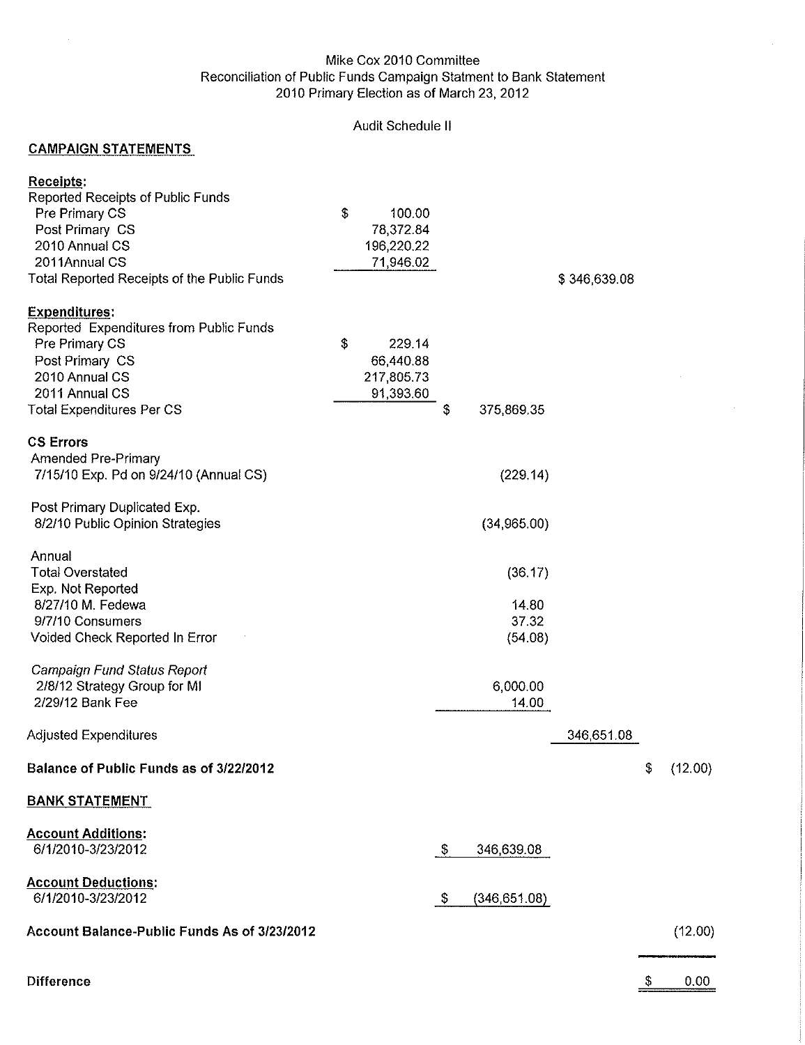#### Mike Cox 2010 Committee Reconciliation of Public Funds Campaign Statment to Bank Statement 2010 Primary Election as of March 23, 2012

### Audit Schedule II

## **CAMPAIGN STATEMENTS**

| Receipts:                                          |              |     |               |              |               |
|----------------------------------------------------|--------------|-----|---------------|--------------|---------------|
| Reported Receipts of Public Funds                  | \$           |     |               |              |               |
| Pre Primary CS                                     | 100.00       |     |               |              |               |
| Post Primary CS<br>2010 Annual CS                  | 78,372.84    |     |               |              |               |
|                                                    | 196,220.22   |     |               |              |               |
| 2011Annual CS                                      | 71,946.02    |     |               |              |               |
| <b>Total Reported Receipts of the Public Funds</b> |              |     |               | \$346,639.08 |               |
| <b>Expenditures:</b>                               |              |     |               |              |               |
| Reported Expenditures from Public Funds            |              |     |               |              |               |
| Pre Primary CS                                     | \$<br>229.14 |     |               |              |               |
| Post Primary CS                                    | 66,440.88    |     |               |              |               |
| 2010 Annual CS                                     | 217,805.73   |     |               |              |               |
| 2011 Annual CS                                     | 91,393.60    |     |               |              |               |
| <b>Total Expenditures Per CS</b>                   |              | \$  | 375,869.35    |              |               |
| <b>CS Errors</b>                                   |              |     |               |              |               |
| <b>Amended Pre-Primary</b>                         |              |     |               |              |               |
| 7/15/10 Exp. Pd on 9/24/10 (Annual CS)             |              |     | (229.14)      |              |               |
|                                                    |              |     |               |              |               |
| Post Primary Duplicated Exp.                       |              |     |               |              |               |
| 8/2/10 Public Opinion Strategies                   |              |     | (34,965.00)   |              |               |
| Annual                                             |              |     |               |              |               |
| <b>Total Overstated</b>                            |              |     | (36.17)       |              |               |
| Exp. Not Reported                                  |              |     |               |              |               |
| 8/27/10 M. Fedewa                                  |              |     | 14.80         |              |               |
| 9/7/10 Consumers                                   |              |     | 37.32         |              |               |
| Voided Check Reported In Error                     |              |     | (54.08)       |              |               |
|                                                    |              |     |               |              |               |
| Campaign Fund Status Report                        |              |     |               |              |               |
| 2/8/12 Strategy Group for MI                       |              |     | 6,000.00      |              |               |
| 2/29/12 Bank Fee                                   |              |     | 14.00         |              |               |
| <b>Adjusted Expenditures</b>                       |              |     |               | 346,651.08   |               |
|                                                    |              |     |               |              |               |
| Balance of Public Funds as of 3/22/2012            |              |     |               |              | \$<br>(12.00) |
| <b>BANK STATEMENT</b>                              |              |     |               |              |               |
| <b>Account Additions:</b>                          |              |     |               |              |               |
| 6/1/2010-3/23/2012                                 |              | -\$ | 346,639.08    |              |               |
|                                                    |              |     |               |              |               |
| <b>Account Deductions:</b>                         |              |     |               |              |               |
| 6/1/2010-3/23/2012                                 |              | \$  | (346, 651.08) |              |               |
| Account Balance-Public Funds As of 3/23/2012       |              |     |               |              | (12.00)       |
|                                                    |              |     |               |              |               |

 $$ 0.00$ 

**Difference**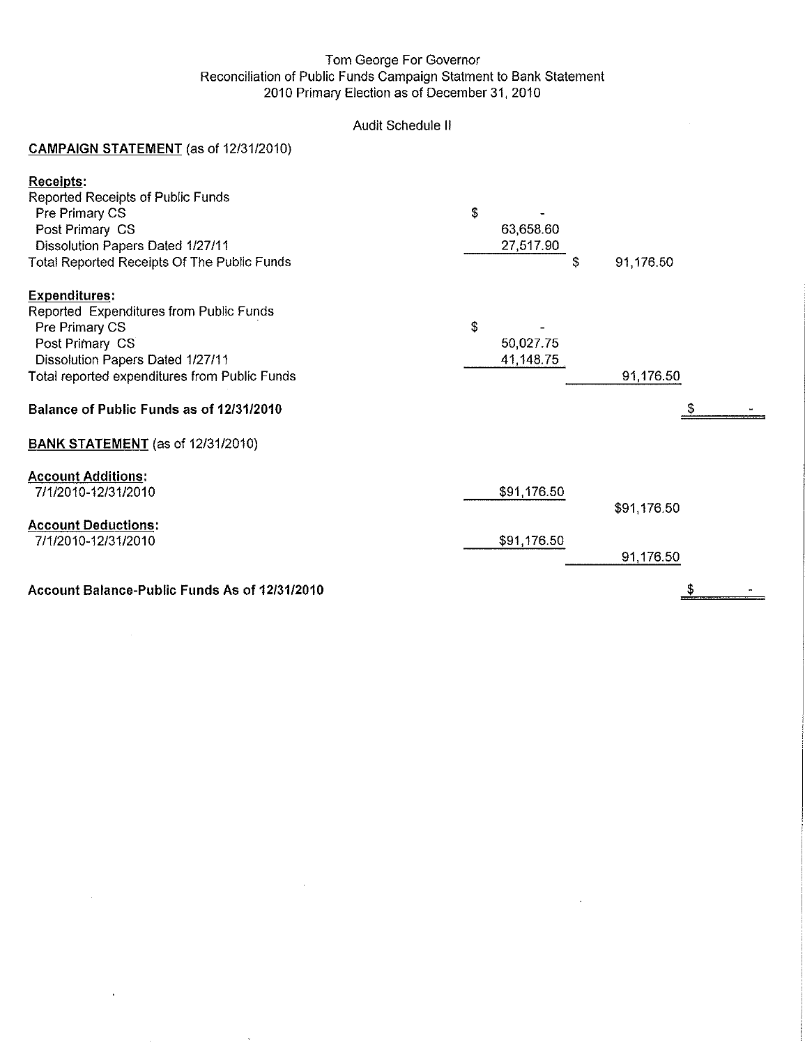#### Tom George For Governor Reconciliation of Public Funds Campaign Statment to Bank Statement 2010 Primary Election as of December 31, 2010

## Audit Schedule II

## **CAMPAIGN STATEMENT** (as of 12/31/2010)

 $\bar{\gamma}$ 

| <b>Receipts:</b>                              |             |                 |
|-----------------------------------------------|-------------|-----------------|
| Reported Receipts of Public Funds             |             |                 |
| Pre Primary CS                                | \$          |                 |
| Post Primary CS                               | 63,658.60   |                 |
| Dissolution Papers Dated 1/27/11              | 27,517.90   |                 |
| Total Reported Receipts Of The Public Funds   |             | \$<br>91,176.50 |
| <b>Expenditures:</b>                          |             |                 |
| Reported Expenditures from Public Funds       |             |                 |
| Pre Primary CS                                | \$          |                 |
| Post Primary CS                               | 50,027.75   |                 |
| Dissolution Papers Dated 1/27/11              | 41,148.75   |                 |
| Total reported expenditures from Public Funds |             | 91,176.50       |
| Balance of Public Funds as of 12/31/2010      |             |                 |
| <b>BANK STATEMENT</b> (as of 12/31/2010)      |             |                 |
| <b>Account Additions:</b>                     |             |                 |
| 7/1/2010-12/31/2010                           | \$91,176.50 |                 |
|                                               |             | \$91,176.50     |
| <b>Account Deductions:</b>                    |             |                 |
| 7/1/2010-12/31/2010                           | \$91,176.50 |                 |
|                                               |             | 91,176.50       |
| Account Balance-Public Funds As of 12/31/2010 |             |                 |

 $\mathcal{L}$ 

 $\bar{u}$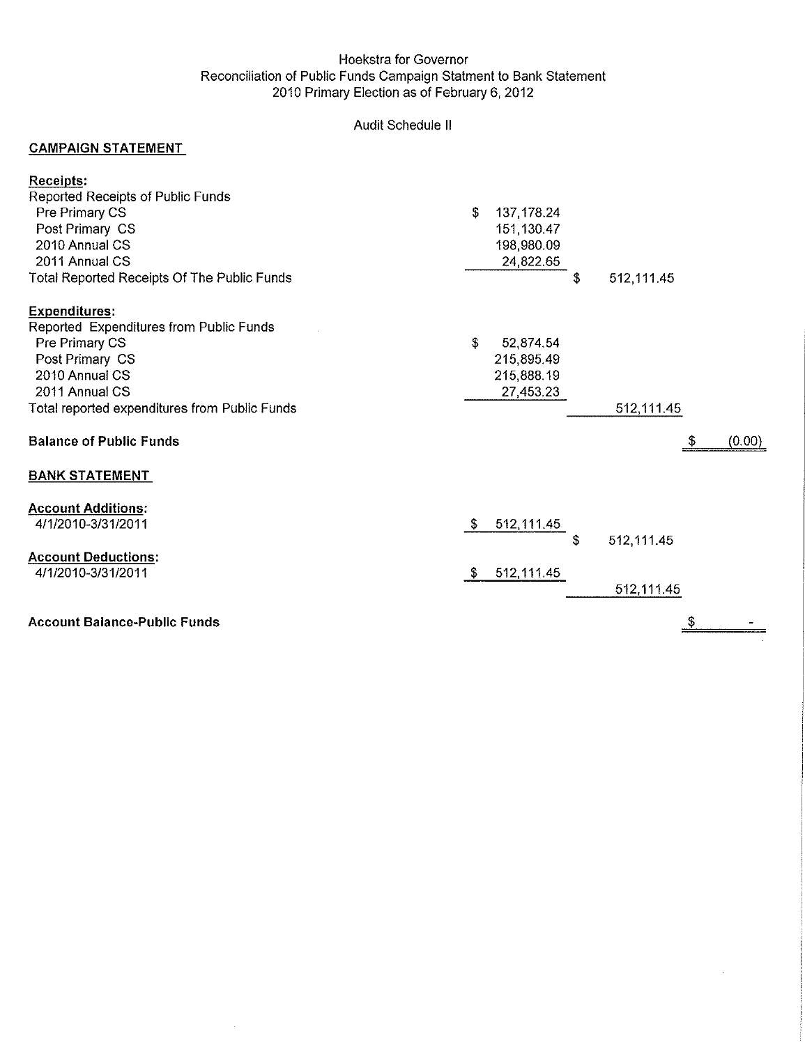## Hoekstra for Governor Reconciliation of Public Funds Campaign Statment to Bank Statement 2010 Primary Election as of February 6, 2012

## Audit Schedule **II**

## **CAMPAIGN STATEMENT**

| Receipts:                                          |                   |
|----------------------------------------------------|-------------------|
| Reported Receipts of Public Funds                  |                   |
| Pre Primary CS                                     | \$.<br>137,178.24 |
| Post Primary CS                                    | 151,130.47        |
| 2010 Annual CS                                     | 198,980.09        |
| 2011 Annual CS                                     | 24,822.65         |
| <b>Total Reported Receipts Of The Public Funds</b> | 512,111.45<br>\$  |
| <b>Expenditures:</b>                               |                   |
| Reported Expenditures from Public Funds            |                   |
| Pre Primary CS                                     | \$<br>52,874.54   |
| Post Primary CS                                    | 215,895.49        |
| 2010 Annual CS                                     | 215,888.19        |
| 2011 Annual CS                                     | 27,453.23         |
| Total reported expenditures from Public Funds      | 512,111.45        |
| <b>Balance of Public Funds</b>                     | (0.00)            |
| <b>BANK STATEMENT</b>                              |                   |
| <b>Account Additions:</b>                          |                   |
| 4/1/2010-3/31/2011                                 | 512,111.45<br>- S |
|                                                    | 512,111.45<br>S   |
| <b>Account Deductions:</b>                         |                   |
| 4/1/2010-3/31/2011                                 | 512, 111.45<br>-S |
|                                                    | 512,111.45        |
| <b>Account Balance-Public Funds</b>                |                   |

 $\hat{\mathcal{A}}$ 

 $\hat{\boldsymbol{\beta}}$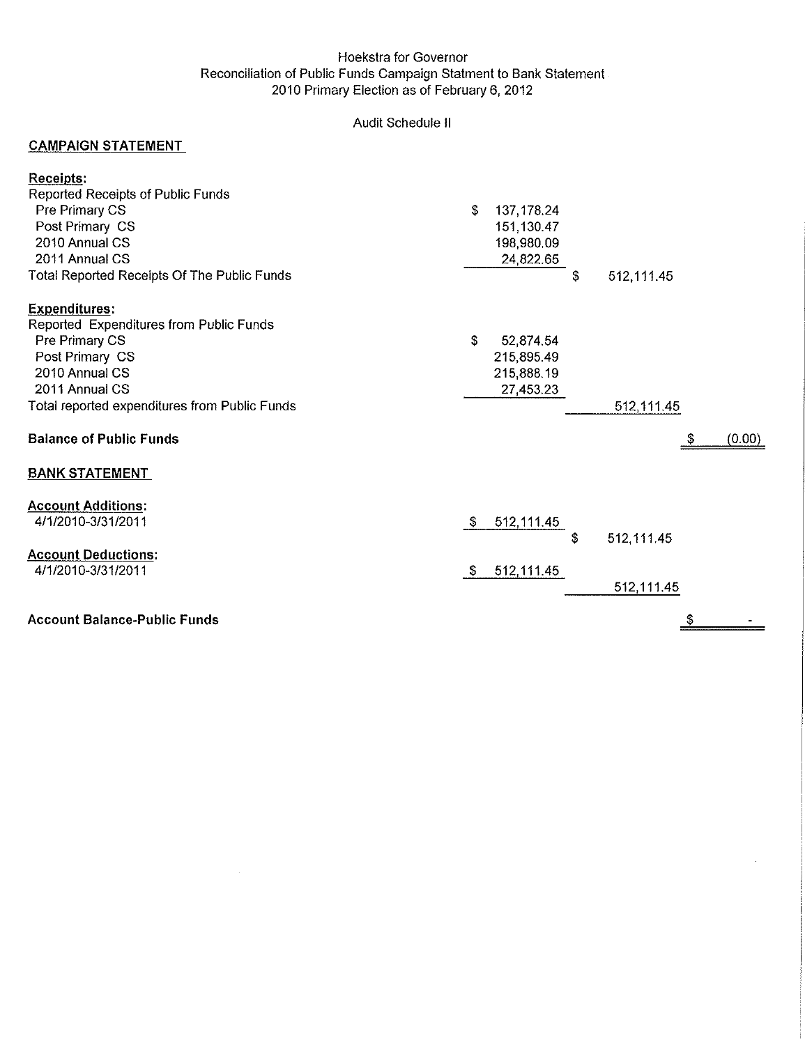## Hoekstra for Governor Reconciliation of Public Funds Campaign Statment to Bank Statement 2010 Primary Election as of February 6, 2012

## Audit Schedule II

## **CAMPAIGN STATEMENT**

| Receipts:                                     |                             |
|-----------------------------------------------|-----------------------------|
| Reported Receipts of Public Funds             |                             |
| Pre Primary CS                                | \$<br>137, 178.24           |
| Post Primary CS                               | 151,130.47                  |
| 2010 Annual CS                                | 198,980.09                  |
| 2011 Annual CS                                | 24,822.65                   |
| Total Reported Receipts Of The Public Funds   | \$<br>512,111.45            |
| <b>Expenditures:</b>                          |                             |
| Reported Expenditures from Public Funds       |                             |
| Pre Primary CS                                | S.<br>52,874.54             |
| Post Primary CS                               | 215,895.49                  |
| 2010 Annual CS                                | 215,888.19                  |
| 2011 Annual CS                                | 27,453.23                   |
| Total reported expenditures from Public Funds | 512,111.45                  |
| <b>Balance of Public Funds</b>                | (0.00)                      |
| <b>BANK STATEMENT</b>                         |                             |
| <b>Account Additions:</b>                     |                             |
| 4/1/2010-3/31/2011                            | 512,111.45<br>$\mathcal{S}$ |
|                                               | \$<br>512,111.45            |
| <b>Account Deductions:</b>                    |                             |
| 4/1/2010-3/31/2011                            | 512,111.45<br>-S            |
|                                               | 512,111.45                  |
| <b>Account Balance-Public Funds</b>           | \$                          |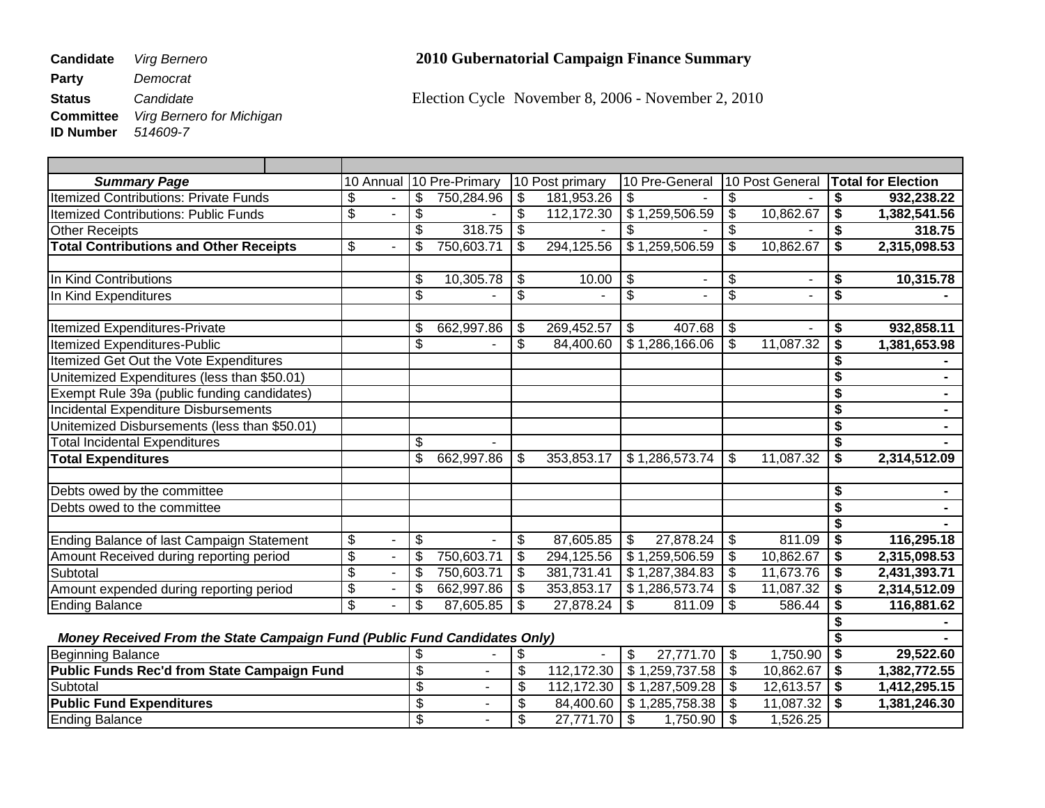**Party** *Democrat* **Status** *Candidate Candidate Committee Virg Bernero for Michigan Election Cycle November 8, 2006 - November 2, 2010 Virg Bernero for Michigan* **ID Number** *514609-7*

## **Candidate** *Virg Bernero* **2010 Gubernatorial Campaign Finance Summary**

| <b>Summary Page</b>                                                       |                                                     |                          | 10 Annual 10 Pre-Primary |                                        | 10 Post primary |                           | 10 Pre-General |                           | 10 Post General          |                                        | <b>Total for Election</b> |
|---------------------------------------------------------------------------|-----------------------------------------------------|--------------------------|--------------------------|----------------------------------------|-----------------|---------------------------|----------------|---------------------------|--------------------------|----------------------------------------|---------------------------|
| Itemized Contributions: Private Funds                                     | \$<br>$\blacksquare$                                | \$                       | 750,284.96               | -\$                                    | 181,953.26      | \$                        |                | $\boldsymbol{\mathsf{S}}$ |                          | \$                                     | 932,238.22                |
| <b>Itemized Contributions: Public Funds</b>                               | $\overline{\boldsymbol{\theta}}$<br>$\overline{a}$  | \$                       |                          | \$                                     | 112,172.30      |                           | \$1,259,506.59 | $\overline{\mathbf{S}}$   | 10,862.67                | \$                                     | 1,382,541.56              |
| Other Receipts                                                            |                                                     | \$                       | 318.75                   | s)                                     |                 | \$                        |                | $\overline{\mathfrak{s}}$ |                          | \$                                     | 318.75                    |
| <b>Total Contributions and Other Receipts</b>                             | \$<br>$\sim$                                        | \$                       | 750,603.71               | \$                                     | 294,125.56      |                           | \$1,259,506.59 | \$                        | 10,862.67                | \$                                     | 2,315,098.53              |
|                                                                           |                                                     |                          |                          |                                        |                 |                           |                |                           |                          |                                        |                           |
| In Kind Contributions                                                     |                                                     | \$                       | 10,305.78                | \$                                     | 10.00           | \$                        |                | \$                        | $\overline{\phantom{a}}$ | \$                                     | 10,315.78                 |
| In Kind Expenditures                                                      |                                                     | \$                       |                          | \$                                     |                 | $\overline{\$}$           |                | $\overline{\mathcal{G}}$  |                          | $\overline{\boldsymbol{s}}$            |                           |
|                                                                           |                                                     |                          |                          |                                        |                 |                           |                |                           |                          |                                        |                           |
| Itemized Expenditures-Private                                             |                                                     | \$                       | 662,997.86               | \$                                     | 269,452.57      | \$                        | 407.68         | $\sqrt{3}$                |                          | \$                                     | 932,858.11                |
| <b>Itemized Expenditures-Public</b>                                       |                                                     | \$                       |                          | $\overline{\boldsymbol{\mathfrak{s}}}$ | 84,400.60       |                           | \$1,286,166.06 | $\overline{\mathbf{3}}$   | 11,087.32                | $\overline{\bullet}$                   | 1,381,653.98              |
| Itemized Get Out the Vote Expenditures                                    |                                                     |                          |                          |                                        |                 |                           |                |                           |                          | \$                                     |                           |
| Unitemized Expenditures (less than \$50.01)                               |                                                     |                          |                          |                                        |                 |                           |                |                           |                          | \$                                     |                           |
| Exempt Rule 39a (public funding candidates)                               |                                                     |                          |                          |                                        |                 |                           |                |                           |                          | \$                                     |                           |
| <b>Incidental Expenditure Disbursements</b>                               |                                                     |                          |                          |                                        |                 |                           |                |                           |                          | $\overline{\$}$                        | $\blacksquare$            |
| Unitemized Disbursements (less than \$50.01)                              |                                                     |                          |                          |                                        |                 |                           |                |                           |                          | $\overline{\boldsymbol{\mathsf{s}}}$   | $\blacksquare$            |
| <b>Total Incidental Expenditures</b>                                      |                                                     | \$                       |                          |                                        |                 |                           |                |                           |                          | $\overline{\$}$                        |                           |
| <b>Total Expenditures</b>                                                 |                                                     | \$                       | 662,997.86               | \$                                     | 353,853.17      |                           | \$1,286,573.74 | \$                        | 11,087.32                | \$                                     | 2,314,512.09              |
|                                                                           |                                                     |                          |                          |                                        |                 |                           |                |                           |                          |                                        |                           |
| Debts owed by the committee                                               |                                                     |                          |                          |                                        |                 |                           |                |                           |                          | \$                                     |                           |
| Debts owed to the committee                                               |                                                     |                          |                          |                                        |                 |                           |                |                           |                          | \$                                     |                           |
|                                                                           |                                                     |                          |                          |                                        |                 |                           |                |                           |                          | \$                                     |                           |
| Ending Balance of last Campaign Statement                                 | \$<br>$\blacksquare$                                | \$                       | $\overline{\phantom{a}}$ | \$                                     | 87,605.85       | \$                        | 27,878.24      | \$                        | 811.09                   | \$                                     | 116,295.18                |
| Amount Received during reporting period                                   | $\overline{\$}$<br>$\overline{\phantom{a}}$         | S                        | 750,603.71               | $\overline{\mathcal{S}}$               | 294,125.56      |                           | \$1,259,506.59 | $\overline{\mathfrak{s}}$ | 10,862.67                | $\overline{\bullet}$                   | 2,315,098.53              |
| Subtotal                                                                  | $\overline{\mathbf{3}}$<br>$\overline{\phantom{a}}$ | \$                       | 750,603.71               | $\boldsymbol{\mathsf{s}}$              | 381,731.41      |                           | \$1,287,384.83 | $\overline{\mathbf{3}}$   | 11,673.76                | \$                                     | 2,431,393.71              |
| Amount expended during reporting period                                   | \$<br>$\blacksquare$                                | \$                       | 662,997.86               | $\boldsymbol{\mathsf{S}}$              | 353,853.17      |                           | \$1,286,573.74 | $\overline{\mathbf{S}}$   | 11,087.32                | \$                                     | 2,314,512.09              |
| <b>Ending Balance</b>                                                     | $\overline{\mathcal{S}}$<br>$\overline{a}$          | $\overline{\mathcal{S}}$ | 87,605.85                | \$                                     | 27,878.24       | \$                        | 811.09         | $\overline{\mathcal{S}}$  | 586.44                   | $\overline{\boldsymbol{\mathfrak{s}}}$ | 116,881.62                |
|                                                                           |                                                     |                          |                          |                                        |                 |                           |                |                           |                          | \$                                     |                           |
| Money Received From the State Campaign Fund (Public Fund Candidates Only) |                                                     |                          |                          |                                        |                 |                           |                |                           |                          | \$                                     |                           |
| <b>Beginning Balance</b>                                                  |                                                     | \$                       |                          | \$                                     |                 | \$                        | 27,771.70      | $\sqrt[6]{3}$             | 1,750.90                 | \$                                     | 29,522.60                 |
| <b>Public Funds Rec'd from State Campaign Fund</b>                        |                                                     | $\overline{\mathbf{3}}$  |                          | \$                                     | 112,172.30      |                           | \$1,259,737.58 | $\overline{\mathcal{S}}$  | 10,862.67                | $\overline{\bullet}$                   | 1,382,772.55              |
| Subtotal                                                                  |                                                     | \$                       |                          | \$                                     | 112,172.30      |                           | \$1,287,509.28 | $\overline{\mathbf{3}}$   | 12,613.57                | $\overline{\bullet}$                   | 1,412,295.15              |
| <b>Public Fund Expenditures</b>                                           |                                                     | \$                       |                          | \$                                     | 84,400.60       |                           | \$1,285,758.38 | $\frac{1}{2}$             | 11,087.32                | \$                                     | 1,381,246.30              |
| <b>Ending Balance</b>                                                     |                                                     | \$                       |                          | \$                                     | 27,771.70       | $\boldsymbol{\mathsf{S}}$ | 1,750.90       | $\boldsymbol{\mathsf{S}}$ | 1,526.25                 |                                        |                           |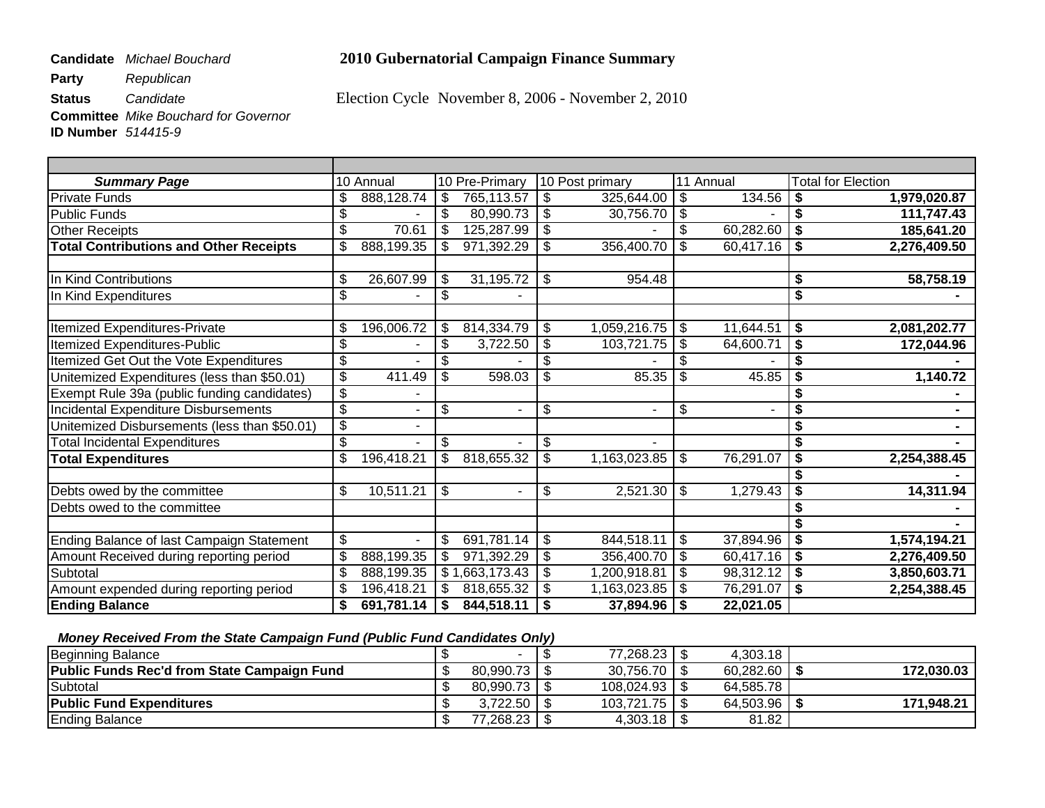## **Candidate** *Michael Bouchard* **2010 Gubernatorial Campaign Finance Summary**

**Party** *Republican*

**Status** *Candidate* Election Cycle November 8, 2006 - November 2, 2010

**Committee** *Mike Bouchard for Governor*

**ID Number** *514415-9*

| <b>Summary Page</b>                           |                          | 10 Annual  |     | 10 Pre-Primary |                           | 10 Post primary |                           | 11 Annual |                                      | <b>Total for Election</b> |
|-----------------------------------------------|--------------------------|------------|-----|----------------|---------------------------|-----------------|---------------------------|-----------|--------------------------------------|---------------------------|
| <b>Private Funds</b>                          |                          | 888,128.74 | \$  | 765,113.57     | $\frac{1}{2}$             | 325,644.00      | $\boldsymbol{\mathsf{S}}$ | 134.56    | \$                                   | 1,979,020.87              |
| Public Funds                                  | \$                       |            | \$  | 80,990.73      | \$                        | 30,756.70       | \$                        |           | \$                                   | 111,747.43                |
| <b>Other Receipts</b>                         | \$                       | 70.61      | \$  | 125,287.99     | \$                        |                 | \$                        | 60,282.60 | \$                                   | 185,641.20                |
| <b>Total Contributions and Other Receipts</b> | \$                       | 888,199.35 | \$  | 971,392.29     | $\overline{\mathfrak{s}}$ | 356,400.70      | \$                        | 60,417.16 | \$                                   | 2,276,409.50              |
|                                               |                          |            |     |                |                           |                 |                           |           |                                      |                           |
| In Kind Contributions                         | \$                       | 26,607.99  | \$  | 31,195.72      | $\boldsymbol{\mathsf{S}}$ | 954.48          |                           |           | \$                                   | 58,758.19                 |
| In Kind Expenditures                          | \$                       |            | \$  |                |                           |                 |                           |           | $\overline{\boldsymbol{\mathsf{s}}}$ |                           |
| Itemized Expenditures-Private                 | \$                       | 196,006.72 | \$  | 814,334.79     | \$                        | 1,059,216.75    | $\boldsymbol{\mathsf{s}}$ | 11,644.51 | \$                                   | 2,081,202.77              |
| Itemized Expenditures-Public                  | \$                       |            | \$  | 3,722.50       | \$                        | 103,721.75      | \$                        | 64,600.71 | \$                                   | 172,044.96                |
| Itemized Get Out the Vote Expenditures        | \$                       |            |     |                | \$                        |                 | \$                        |           | \$                                   |                           |
| Unitemized Expenditures (less than \$50.01)   | $\overline{\$}$          | 411.49     | \$  | 598.03         | \$                        | 85.35           | \$                        | 45.85     | \$                                   | 1,140.72                  |
| Exempt Rule 39a (public funding candidates)   | $\overline{\$}$          |            |     |                |                           |                 |                           |           |                                      |                           |
| Incidental Expenditure Disbursements          | $\overline{\$}$          |            | \$  |                | \$                        |                 | \$                        |           | \$                                   |                           |
| Unitemized Disbursements (less than \$50.01)  | $\overline{\mathcal{G}}$ |            |     |                |                           |                 |                           |           | \$                                   |                           |
| <b>Total Incidental Expenditures</b>          | $\overline{\mathcal{G}}$ |            | \$  |                | \$                        |                 |                           |           | \$                                   |                           |
| <b>Total Expenditures</b>                     | $\overline{\mathcal{G}}$ | 196,418.21 | \$  | 818,655.32     | $\boldsymbol{\mathsf{S}}$ | 1,163,023.85    | $\boldsymbol{\mathsf{s}}$ | 76,291.07 | $\overline{\boldsymbol{s}}$          | 2,254,388.45              |
|                                               |                          |            |     |                |                           |                 |                           |           |                                      |                           |
| Debts owed by the committee                   | \$                       | 10,511.21  | \$  |                | $\boldsymbol{\mathsf{S}}$ | 2,521.30        | $\boldsymbol{\mathsf{s}}$ | 1,279.43  | \$                                   | 14,311.94                 |
| Debts owed to the committee                   |                          |            |     |                |                           |                 |                           |           |                                      |                           |
|                                               |                          |            |     |                |                           |                 |                           |           | \$                                   |                           |
| Ending Balance of last Campaign Statement     | $\overline{\mathcal{G}}$ |            | \$  | 691,781.14     | \$                        | 844,518.11      | $\mathfrak{F}$            | 37,894.96 | l s                                  | 1,574,194.21              |
| Amount Received during reporting period       | \$                       | 888,199.35 | \$  | 971,392.29     | \$                        | 356,400.70      | \$                        | 60,417.16 | 1\$                                  | 2,276,409.50              |
| Subtotal                                      | \$                       | 888,199.35 | \$1 | ,663,173.43    | \$                        | 1,200,918.81    | \$                        | 98,312.12 | \$                                   | 3,850,603.71              |
| Amount expended during reporting period       | \$                       | 196,418.21 | \$  | 818,655.32     | \$                        | 1,163,023.85    | \$                        | 76,291.07 | -\$                                  | 2,254,388.45              |
| <b>Ending Balance</b>                         | \$                       | 691,781.14 | \$  | 844,518.11     | \$                        | $37,894.96$ \\$ |                           | 22,021.05 |                                      |                           |

| Beginning Balance                                  |                      | 77.268.23     | 4,303.18  |            |
|----------------------------------------------------|----------------------|---------------|-----------|------------|
| <b>Public Funds Rec'd from State Campaign Fund</b> | 80.990.73 S          | $30.756.70$ S | 60.282.60 | 172.030.03 |
| Subtotal                                           | 80.990.73   \$       | 108.024.93    | 64.585.78 |            |
| <b>Public Fund Expenditures</b>                    | 3.722.50             | 103.721.75    | 64.503.96 | 171.948.21 |
| <b>Ending Balance</b>                              | $77,268.23$ J $\sim$ | 4.303.18      | 81.82     |            |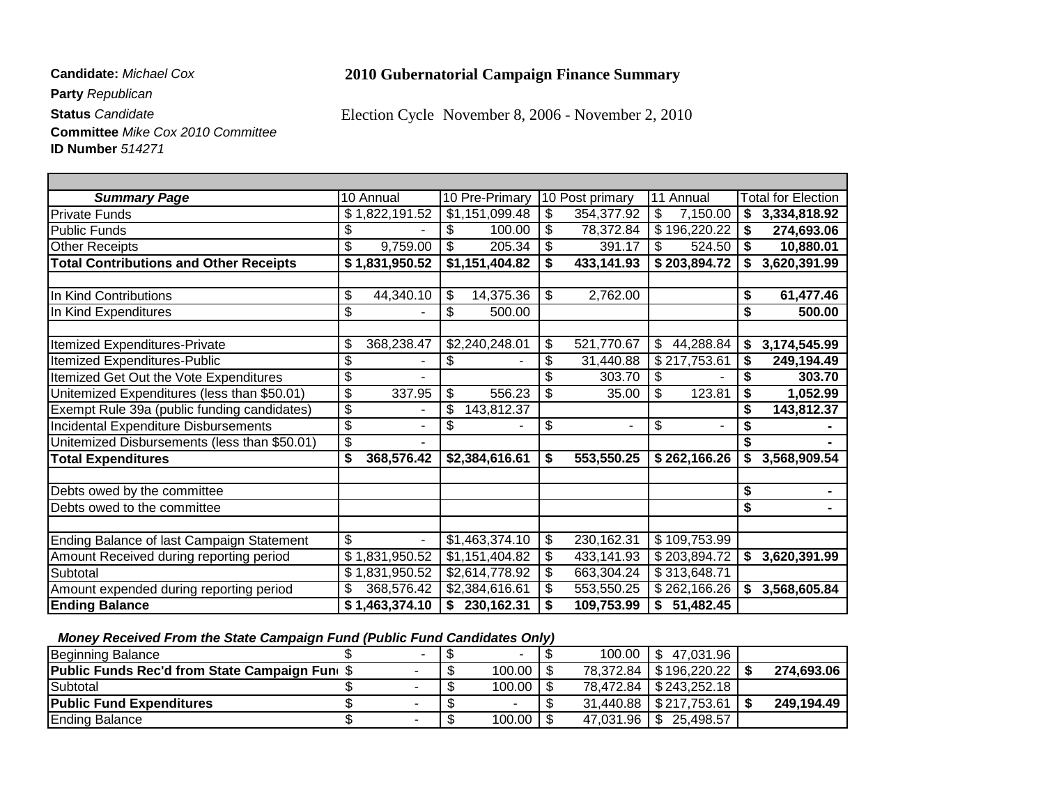## **Candidate:** *Michael Cox* **2010 Gubernatorial Campaign Finance Summary**

**Party** *Republican*

**Status** *Candidate* Election Cycle November 8, 2006 - November 2, 2010

| <b>Committee</b> Mike Cox 2010 Committee |
|------------------------------------------|
| <b>ID Number</b> $514271$                |

| <b>Summary Page</b>                           | 10 Annual        | 10 Pre-Primary   | 10 Post primary                | 11 Annual                      | <b>Total for Election</b>       |
|-----------------------------------------------|------------------|------------------|--------------------------------|--------------------------------|---------------------------------|
| <b>Private Funds</b>                          | \$1,822,191.52   | \$1,151,099.48   | \$<br>354,377.92               | 7,150.00<br>\$                 | \$<br>3,334,818.92              |
| <b>Public Funds</b>                           | \$               | 100.00<br>\$     | \$<br>78,372.84                | \$196,220.22                   | \$<br>274,693.06                |
| <b>Other Receipts</b>                         | 9,759.00<br>\$   | \$<br>205.34     | \$<br>391.17                   | 524.50<br>\$                   | $\mathbf{\hat{s}}$<br>10,880.01 |
| <b>Total Contributions and Other Receipts</b> | \$1,831,950.52   | \$1,151,404.82   | 433,141.93                     | \$203,894.72                   | 3,620,391.99<br>\$              |
|                                               |                  |                  |                                |                                |                                 |
| In Kind Contributions                         | 44,340.10<br>\$  | \$<br>14,375.36  | \$<br>2,762.00                 |                                | 61,477.46<br>\$                 |
| In Kind Expenditures                          | \$               | \$<br>500.00     |                                |                                | \$<br>500.00                    |
|                                               |                  |                  |                                |                                |                                 |
| Itemized Expenditures-Private                 | 368,238.47<br>\$ | \$2,240,248.01   | \$<br>521,770.67               | \$<br>44,288.84                | 3,174,545.99<br>S               |
| <b>Itemized Expenditures-Public</b>           | \$               | \$               | \$<br>31,440.88                | \$217,753.61                   | \$<br>249,194.49                |
| Itemized Get Out the Vote Expenditures        | \$               |                  | \$<br>303.70                   | \$                             | 303.70<br>\$                    |
| Unitemized Expenditures (less than \$50.01)   | \$<br>337.95     | \$<br>556.23     | \$<br>35.00                    | 123.81<br>\$                   | \$<br>1,052.99                  |
| Exempt Rule 39a (public funding candidates)   | \$<br>۰          | 143,812.37<br>\$ |                                |                                | \$<br>143,812.37                |
| <b>Incidental Expenditure Disbursements</b>   | \$<br>۰          | \$               | \$<br>$\overline{\phantom{a}}$ | \$<br>$\overline{\phantom{a}}$ | \$                              |
| Unitemized Disbursements (less than \$50.01)  | \$               |                  |                                |                                |                                 |
| <b>Total Expenditures</b>                     | \$<br>368,576.42 | \$2,384,616.61   | \$<br>553,550.25               | \$262,166.26                   | \$<br>3,568,909.54              |
|                                               |                  |                  |                                |                                |                                 |
| Debts owed by the committee                   |                  |                  |                                |                                | \$<br>۰.                        |
| Debts owed to the committee                   |                  |                  |                                |                                | \$                              |
|                                               |                  |                  |                                |                                |                                 |
| Ending Balance of last Campaign Statement     | \$               | \$1,463,374.10   | \$<br>230,162.31               | \$109,753.99                   |                                 |
| Amount Received during reporting period       | \$1,831,950.52   | \$1,151,404.82   | \$<br>433,141.93               | \$203,894.72                   | \$<br>3,620,391.99              |
| Subtotal                                      | \$1,831,950.52   | \$2,614,778.92   | \$<br>663,304.24               | \$313,648.71                   |                                 |
| Amount expended during reporting period       | \$<br>368,576.42 | \$2,384,616.61   | 553,550.25<br>\$               | \$262,166.26                   | \$<br>3,568,605.84              |
| <b>Ending Balance</b>                         | \$1,463,374.10   | \$<br>230,162.31 | 109,753.99<br>\$               | 51,482.45<br>\$                |                                 |

| IBeginning Balance                                    |  |        | 100.00    | S 47.031.96              |            |
|-------------------------------------------------------|--|--------|-----------|--------------------------|------------|
| <b>Public Funds Rec'd from State Campaign Fune \$</b> |  | 100.00 |           | 78,372.84   \$196,220.22 | 274,693.06 |
| <b>Subtotal</b>                                       |  | 100.00 |           | 78,472.84   \$243,252.18 |            |
| <b>Public Fund Expenditures</b>                       |  |        |           | 31,440.88   \$217,753.61 | 249,194.49 |
| Ending Balance                                        |  | 100.00 | 47.031.96 | 25.498.57                |            |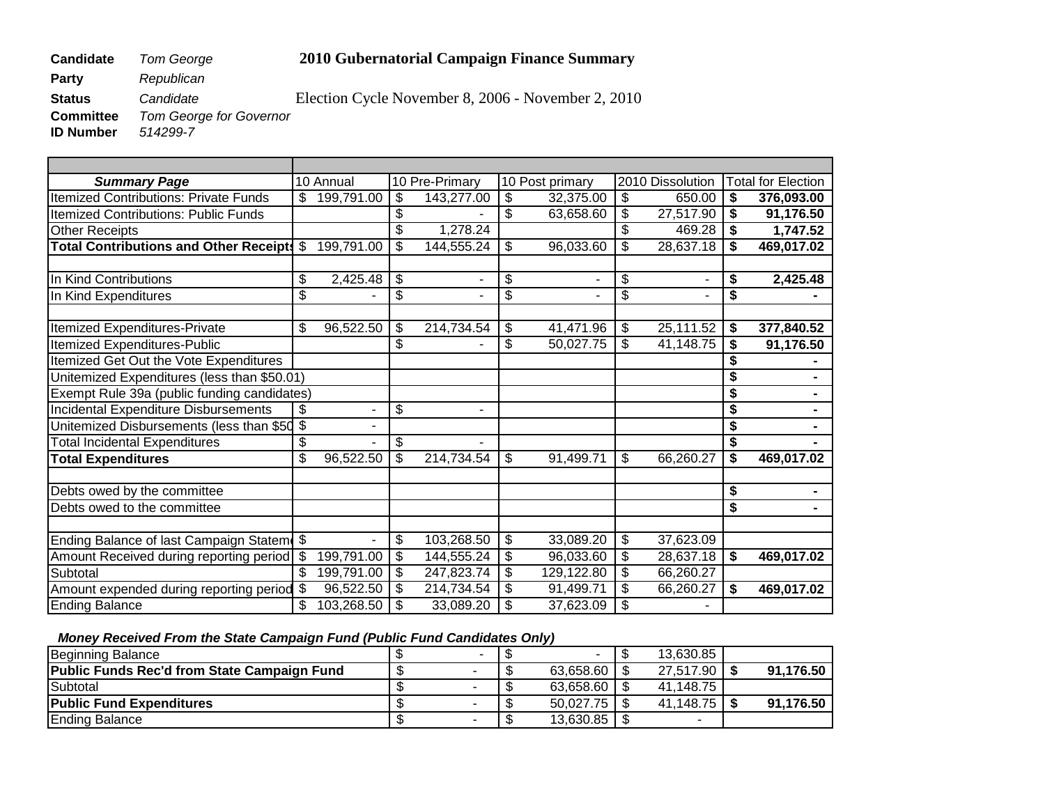## **Candidate** *Tom George* **2010 Gubernatorial Campaign Finance Summary**

**Party** *Republican*

**Status** *Candidate* Election Cycle November 8, 2006 - November 2, 2010

**Committee** *Tom George for Governor*

**ID Number** 

| <b>Summary Page</b>                           |    | 10 Annual      | 10 Pre-Primary       |                           | 10 Post primary |     | 2010 Dissolution |    | <b>Total for Election</b> |
|-----------------------------------------------|----|----------------|----------------------|---------------------------|-----------------|-----|------------------|----|---------------------------|
| <b>Itemized Contributions: Private Funds</b>  | \$ | 199,791.00     | \$<br>143,277.00     | \$                        | 32,375.00       | \$  | 650.00           | \$ | 376,093.00                |
| <b>Itemized Contributions: Public Funds</b>   |    |                | \$                   | \$                        | 63,658.60       | \$  | 27,517.90        | \$ | 91,176.50                 |
| <b>Other Receipts</b>                         |    |                | \$<br>1,278.24       |                           |                 | \$  | 469.28           | \$ | 1,747.52                  |
| <b>Total Contributions and Other Receipts</b> | s) | 199,791.00     | \$<br>144,555.24     | $\overline{\mathcal{S}}$  | 96,033.60       | \$  | 28,637.18        | \$ | 469,017.02                |
|                                               |    |                |                      |                           |                 |     |                  |    |                           |
| In Kind Contributions                         | \$ | 2,425.48       | \$                   | \$                        | ۰               | \$  |                  | \$ | 2,425.48                  |
| In Kind Expenditures                          | \$ |                | \$<br>$\blacksquare$ | \$                        | $\blacksquare$  | \$  |                  | \$ |                           |
|                                               |    |                |                      |                           |                 |     |                  |    |                           |
| Itemized Expenditures-Private                 | \$ | 96,522.50      | \$<br>214,734.54     | \$                        | 41,471.96       | \$  | 25,111.52        | \$ | 377,840.52                |
| Itemized Expenditures-Public                  |    |                | \$                   | \$                        | 50,027.75       | \$  | 41,148.75        | \$ | 91,176.50                 |
| Itemized Get Out the Vote Expenditures        |    |                |                      |                           |                 |     |                  |    |                           |
| Unitemized Expenditures (less than \$50.01)   |    |                |                      |                           |                 |     |                  |    |                           |
| Exempt Rule 39a (public funding candidates)   |    |                |                      |                           |                 |     |                  | S  |                           |
| <b>Incidental Expenditure Disbursements</b>   | \$ |                | \$                   |                           |                 |     |                  |    |                           |
| Unitemized Disbursements (less than \$50 \$   |    |                |                      |                           |                 |     |                  |    |                           |
| <b>Total Incidental Expenditures</b>          | \$ |                | \$                   |                           |                 |     |                  |    |                           |
| <b>Total Expenditures</b>                     | \$ | 96,522.50      | \$<br>214,734.54     | $\boldsymbol{\mathsf{S}}$ | 91,499.71       | \$  | 66,260.27        | \$ | 469,017.02                |
|                                               |    |                |                      |                           |                 |     |                  |    |                           |
| Debts owed by the committee                   |    |                |                      |                           |                 |     |                  | \$ |                           |
| Debts owed to the committee                   |    |                |                      |                           |                 |     |                  |    |                           |
|                                               |    |                |                      |                           |                 |     |                  |    |                           |
| Ending Balance of last Campaign Statem        |    | $\overline{a}$ | \$<br>103,268.50     | $\overline{\mathbf{S}}$   | 33,089.20       | \$  | 37,623.09        |    |                           |
| Amount Received during reporting period       | \$ | 199,791.00     | \$<br>144,555.24     | \$                        | 96,033.60       | \$  | 28,637.18        | \$ | 469,017.02                |
| Subtotal                                      | \$ | 199,791.00     | \$<br>247,823.74     | $\overline{\mathcal{S}}$  | 129,122.80      | \$  | 66,260.27        |    |                           |
| Amount expended during reporting period \$    |    | 96,522.50      | \$<br>214,734.54     | \$                        | 91,499.71       | \$. | 66,260.27        | \$ | 469,017.02                |
| <b>Ending Balance</b>                         | \$ | 103,268.50     | \$<br>33,089.20      | \$                        | 37,623.09       |     |                  |    |                           |

| Beginning Balance                                  | - | ۰         | 13,630.85 |           |
|----------------------------------------------------|---|-----------|-----------|-----------|
| <b>Public Funds Rec'd from State Campaign Fund</b> |   | 63.658.60 | 27.517.90 | 91,176.50 |
| Subtotal                                           |   | 63.658.60 | 41.148.75 |           |
| <b>Public Fund Expenditures</b>                    |   | 50.027.75 | 41.148.75 | 91.176.50 |
| <b>Ending Balance</b>                              |   | 13.630.85 |           |           |